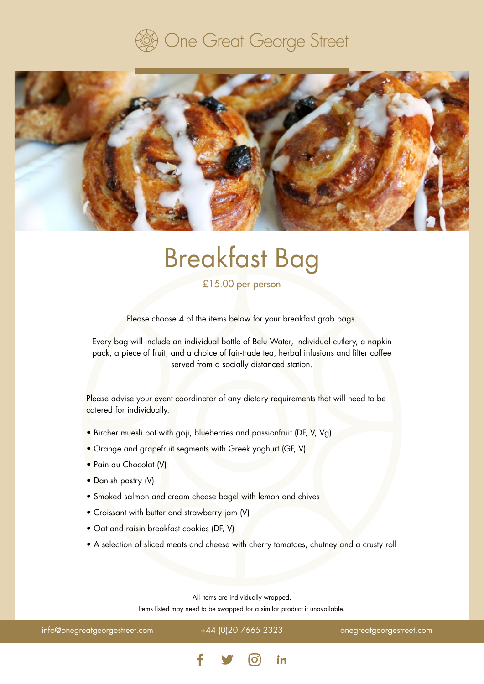### One Great George Street



## Breakfast Bag

£15.00 per person

Please choose 4 of the items below for your breakfast grab bags.

Every bag will include an individual bottle of Belu Water, individual cutlery, a napkin pack, a piece of fruit, and a choice of fair-trade tea, herbal infusions and filter coffee served from a socially distanced station.

Please advise your event coordinator of any dietary requirements that will need to be catered for individually.

- Bircher muesli pot with goji, blueberries and passionfruit (DF, V, Vg)
- Orange and grapefruit segments with Greek yoghurt (GF, V)
- Pain au Chocolat (V)
- Danish pastry (V)
- Smoked salmon and cream cheese bagel with lemon and chives
- Croissant with butter and strawberry jam (V)
- Oat and raisin breakfast cookies (DF, V)
- A selection of sliced meats and cheese with cherry tomatoes, chutney and a crusty roll

All items are individually wrapped. Items listed may need to be swapped for a similar product if unavailable.

info@onegreatgeorgestreet.com +44 (0)20 7665 2323 onegreatgeorgestreet.com